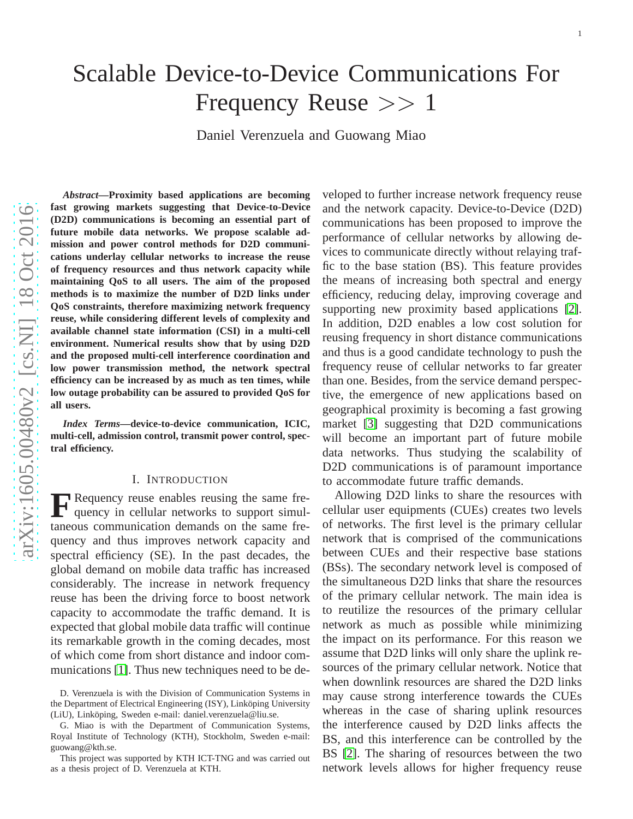# Scalable Device-to-Device Communications For Frequency Reuse >> 1

Daniel Verenzuela and Guowang Miao

*Abstract***—Proximity based applications are becoming fast growing markets suggesting that Device-to-Device (D2D) communications is becoming an essential part of future mobile data networks. We propose scalable admission and power control methods for D2D communications underlay cellular networks to increase the reuse of frequency resources and thus network capacity while maintaining QoS to all users. The aim of the proposed methods is to maximize the number of D2D links under QoS constraints, therefore maximizing network frequency reuse, while considering different levels of complexity an d available channel state information (CSI) in a multi-cell environment. Numerical results show that by using D2D and the proposed multi-cell interference coordination and low power transmission method, the network spectral efficiency can be increased by as much as ten times, while low outage probability can be assured to provided QoS for all users.**

*Index Terms***—device-to-device communication, ICIC, multi-cell, admission control, transmit power control, spectral efficiency.**

#### I. INTRODUCTION

**F** Requency reuse enables reusing the same frequency in cellular networks to support simulquency in cellular networks to support simultaneous communication demands on the same frequency and thus improves network capacity and spectral efficiency (SE). In the past decades, the global demand on mobile data traffic has increased considerably. The increase in network frequency reuse has been the driving force to boost network capacity to accommodate the traffic demand. It is expected that global mobile data traffic will continue its remarkable growth in the coming decades, most of which come from short distance and indoor communications [\[1\]](#page-14-0). Thus new techniques need to be de-

veloped to further increase network frequency reuse and the network capacity. Device-to-Device (D2D) communications has been proposed to improve the performance of cellular networks by allowing devices to communicate directly without relaying traffic to the base station (BS). This feature provides the means of increasing both spectral and energy efficiency, reducing delay, improving coverage and supporting new proximity based applications [\[2\]](#page-14-1). In addition, D2D enables a low cost solution for reusing frequency in short distance communications and thus is a good candidate technology to push the frequency reuse of cellular networks to far greater than one. Besides, from the service demand perspective, the emergence of new applications based on geographical proximity is becoming a fast growing market [\[3\]](#page-14-2) suggesting that D2D communications will become an important part of future mobile data networks. Thus studying the scalability of D<sub>2</sub>D communications is of paramount importance to accommodate future traffic demands.

Allowing D2D links to share the resources with cellular user equipments (CUEs) creates two levels of networks. The first level is the primary cellular network that is comprised of the communications between CUEs and their respective base stations (BSs). The secondary network level is composed of the simultaneous D2D links that share the resources of the primary cellular network. The main idea is to reutilize the resources of the primary cellular network as much as possible while minimizing the impact on its performance. For this reason we assume that D2D links will only share the uplink resources of the primary cellular network. Notice that when downlink resources are shared the D2D links may cause strong interference towards the CUEs whereas in the case of sharing uplink resources the interference caused by D2D links affects the BS, and this interference can be controlled by the BS [\[2\]](#page-14-1). The sharing of resources between the two network levels allows for higher frequency reuse

D. Verenzuela is with the Division of Communication Systems in the Department of Electrical Engineering (ISY), Linköping University (LiU), Linköping, Sweden e-mail: daniel.verenzuela@liu.se.

G. Miao is with the Department of Communication Systems, Royal Institute of Technology (KTH), Stockholm, Sweden e-mail: guowang@kth.se.

This project was supported by KTH ICT-TNG and was carried out as a thesis project of D. Verenzuela at KTH.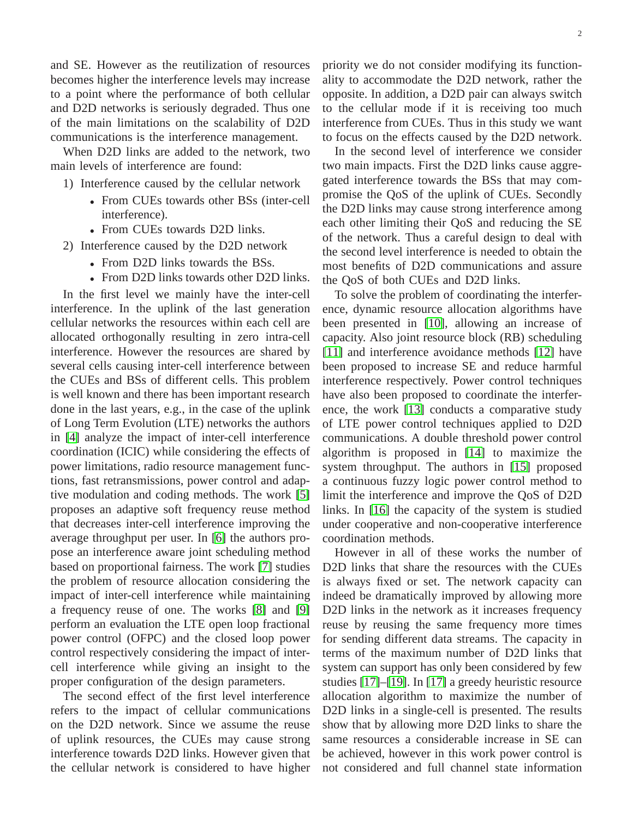and SE. However as the reutilization of resources becomes higher the interference levels may increase to a point where the performance of both cellular and D2D networks is seriously degraded. Thus one of the main limitations on the scalability of D2D communications is the interference management.

When D2D links are added to the network, two main levels of interference are found:

- 1) Interference caused by the cellular network
	- From CUEs towards other BSs (inter-cell interference).
	- From CUEs towards D2D links.
- 2) Interference caused by the D2D network
	- From D2D links towards the BSs.
	- From D2D links towards other D2D links.

In the first level we mainly have the inter-cell interference. In the uplink of the last generation cellular networks the resources within each cell are allocated orthogonally resulting in zero intra-cell interference. However the resources are shared by several cells causing inter-cell interference between the CUEs and BSs of different cells. This problem is well known and there has been important research done in the last years, e.g., in the case of the uplink of Long Term Evolution (LTE) networks the authors in [\[4\]](#page-14-3) analyze the impact of inter-cell interference coordination (ICIC) while considering the effects of power limitations, radio resource management functions, fast retransmissions, power control and adaptive modulation and coding methods. The work [\[5\]](#page-14-4) proposes an adaptive soft frequency reuse method that decreases inter-cell interference improving the average throughput per user. In [\[6\]](#page-14-5) the authors propose an interference aware joint scheduling method based on proportional fairness. The work [\[7\]](#page-14-6) studies the problem of resource allocation considering the impact of inter-cell interference while maintaining a frequency reuse of one. The works [\[8\]](#page-14-7) and [\[9\]](#page-14-8) perform an evaluation the LTE open loop fractional power control (OFPC) and the closed loop power control respectively considering the impact of intercell interference while giving an insight to the proper configuration of the design parameters.

The second effect of the first level interference refers to the impact of cellular communications on the D2D network. Since we assume the reuse of uplink resources, the CUEs may cause strong interference towards D2D links. However given that the cellular network is considered to have higher

priority we do not consider modifying its functionality to accommodate the D2D network, rather the opposite. In addition, a D2D pair can always switch to the cellular mode if it is receiving too much interference from CUEs. Thus in this study we want to focus on the effects caused by the D2D network.

In the second level of interference we consider two main impacts. First the D2D links cause aggregated interference towards the BSs that may compromise the QoS of the uplink of CUEs. Secondly the D2D links may cause strong interference among each other limiting their QoS and reducing the SE of the network. Thus a careful design to deal with the second level interference is needed to obtain the most benefits of D2D communications and assure the QoS of both CUEs and D2D links.

To solve the problem of coordinating the interference, dynamic resource allocation algorithms have been presented in [\[10\]](#page-14-9), allowing an increase of capacity. Also joint resource block (RB) scheduling [\[11\]](#page-14-10) and interference avoidance methods [\[12\]](#page-14-11) have been proposed to increase SE and reduce harmful interference respectively. Power control techniques have also been proposed to coordinate the interference, the work [\[13\]](#page-14-12) conducts a comparative study of LTE power control techniques applied to D2D communications. A double threshold power control algorithm is proposed in [\[14\]](#page-15-0) to maximize the system throughput. The authors in [\[15\]](#page-15-1) proposed a continuous fuzzy logic power control method to limit the interference and improve the QoS of D2D links. In [\[16\]](#page-15-2) the capacity of the system is studied under cooperative and non-cooperative interference coordination methods.

However in all of these works the number of D2D links that share the resources with the CUEs is always fixed or set. The network capacity can indeed be dramatically improved by allowing more D<sub>2</sub>D links in the network as it increases frequency reuse by reusing the same frequency more times for sending different data streams. The capacity in terms of the maximum number of D2D links that system can support has only been considered by few studies [\[17\]](#page-15-3)–[\[19\]](#page-15-4). In [\[17\]](#page-15-3) a greedy heuristic resource allocation algorithm to maximize the number of D2D links in a single-cell is presented. The results show that by allowing more D2D links to share the same resources a considerable increase in SE can be achieved, however in this work power control is not considered and full channel state information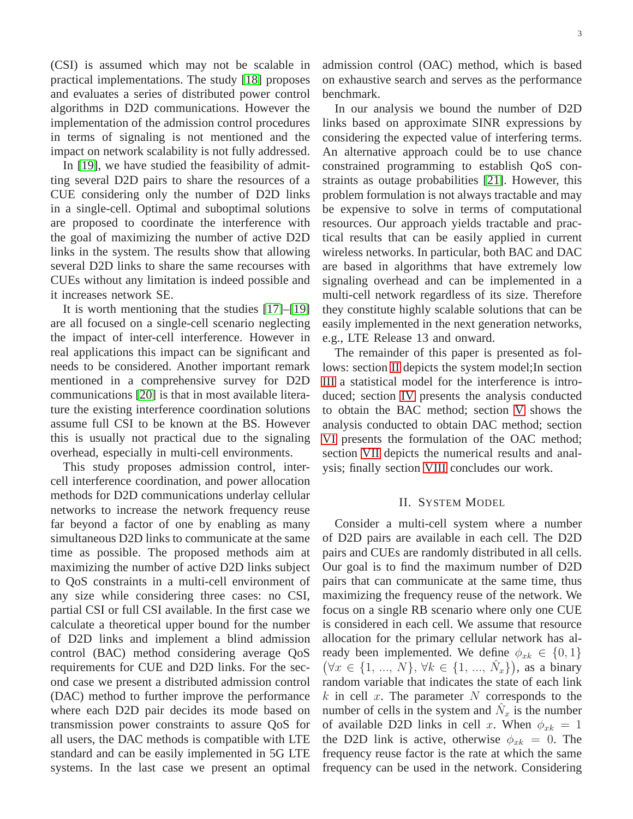(CSI) is assumed which may not be scalable in practical implementations. The study [\[18\]](#page-15-5) proposes and evaluates a series of distributed power control algorithms in D2D communications. However the implementation of the admission control procedures in terms of signaling is not mentioned and the impact on network scalability is not fully addressed.

In [\[19\]](#page-15-4), we have studied the feasibility of admitting several D2D pairs to share the resources of a CUE considering only the number of D2D links in a single-cell. Optimal and suboptimal solutions are proposed to coordinate the interference with the goal of maximizing the number of active D2D links in the system. The results show that allowing several D2D links to share the same recourses with CUEs without any limitation is indeed possible and it increases network SE.

It is worth mentioning that the studies [\[17\]](#page-15-3)–[\[19\]](#page-15-4) are all focused on a single-cell scenario neglecting the impact of inter-cell interference. However in real applications this impact can be significant and needs to be considered. Another important remark mentioned in a comprehensive survey for D2D communications [\[20\]](#page-15-6) is that in most available literature the existing interference coordination solutions assume full CSI to be known at the BS. However this is usually not practical due to the signaling overhead, especially in multi-cell environments.

This study proposes admission control, intercell interference coordination, and power allocation methods for D2D communications underlay cellular networks to increase the network frequency reuse far beyond a factor of one by enabling as many simultaneous D2D links to communicate at the same time as possible. The proposed methods aim at maximizing the number of active D2D links subject to QoS constraints in a multi-cell environment of any size while considering three cases: no CSI, partial CSI or full CSI available. In the first case we calculate a theoretical upper bound for the number of D2D links and implement a blind admission control (BAC) method considering average QoS requirements for CUE and D2D links. For the second case we present a distributed admission control (DAC) method to further improve the performance where each D2D pair decides its mode based on transmission power constraints to assure QoS for all users, the DAC methods is compatible with LTE standard and can be easily implemented in 5G LTE systems. In the last case we present an optimal admission control (OAC) method, which is based on exhaustive search and serves as the performance benchmark.

In our analysis we bound the number of D2D links based on approximate SINR expressions by considering the expected value of interfering terms. An alternative approach could be to use chance constrained programming to establish QoS constraints as outage probabilities [\[21\]](#page-15-7). However, this problem formulation is not always tractable and may be expensive to solve in terms of computational resources. Our approach yields tractable and practical results that can be easily applied in current wireless networks. In particular, both BAC and DAC are based in algorithms that have extremely low signaling overhead and can be implemented in a multi-cell network regardless of its size. Therefore they constitute highly scalable solutions that can be easily implemented in the next generation networks, e.g., LTE Release 13 and onward.

The remainder of this paper is presented as follows: section [II](#page-2-0) depicts the system model;In section [III](#page-4-0) a statistical model for the interference is introduced; section [IV](#page-5-0) presents the analysis conducted to obtain the BAC method; section [V](#page-7-0) shows the analysis conducted to obtain DAC method; section [VI](#page-10-0) presents the formulation of the OAC method; section [VII](#page-10-1) depicts the numerical results and analysis; finally section [VIII](#page-13-0) concludes our work.

# II. SYSTEM MODEL

<span id="page-2-0"></span>Consider a multi-cell system where a number of D2D pairs are available in each cell. The D2D pairs and CUEs are randomly distributed in all cells. Our goal is to find the maximum number of D2D pairs that can communicate at the same time, thus maximizing the frequency reuse of the network. We focus on a single RB scenario where only one CUE is considered in each cell. We assume that resource allocation for the primary cellular network has already been implemented. We define  $\phi_{xk} \in \{0,1\}$  $(\forall x \in \{1, ..., N\}, \forall k \in \{1, ..., \hat{N}_x\})$ , as a binary random variable that indicates the state of each link  $k$  in cell x. The parameter N corresponds to the number of cells in the system and  $\hat{N}_x$  is the number of available D2D links in cell x. When  $\phi_{xk} = 1$ the D2D link is active, otherwise  $\phi_{xk} = 0$ . The frequency reuse factor is the rate at which the same frequency can be used in the network. Considering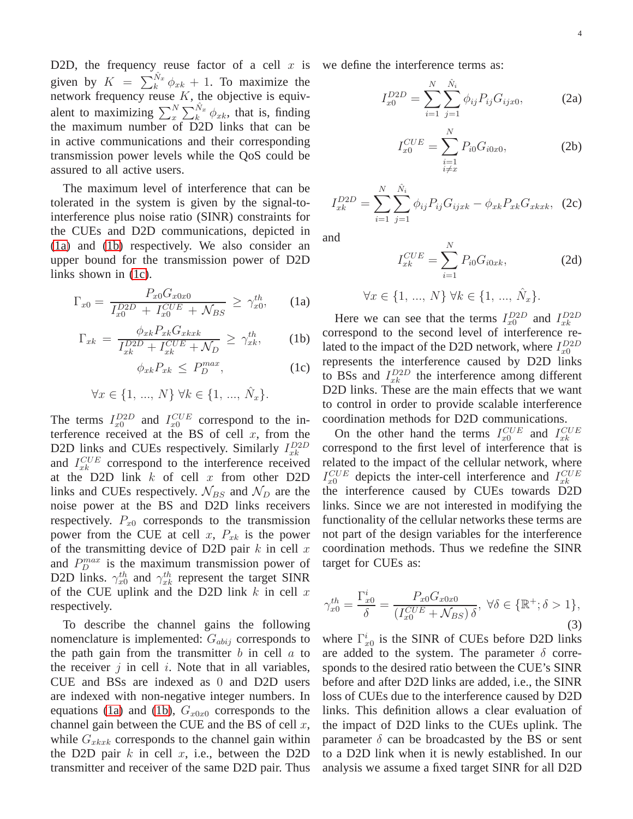D2D, the frequency reuse factor of a cell  $x$  is given by  $K = \sum_{k=0}^{N_x} \phi_{x_k} + 1$ . To maximize the network frequency reuse  $K$ , the objective is equivalent to maximizing  $\sum_{x}^{N} \sum_{k}^{\hat{N}_{x}} \phi_{xk}$ , that is, finding the maximum number of D2D links that can be in active communications and their corresponding transmission power levels while the QoS could be assured to all active users.

The maximum level of interference that can be tolerated in the system is given by the signal-tointerference plus noise ratio (SINR) constraints for the CUEs and D2D communications, depicted in [\(1a\)](#page-3-0) and [\(1b\)](#page-3-1) respectively. We also consider an upper bound for the transmission power of D2D links shown in [\(1c\)](#page-3-2).

<span id="page-3-0"></span>
$$
\Gamma_{x0} = \frac{P_{x0} G_{x0x0}}{I_{x0}^{D2D} + I_{x0}^{CUE} + \mathcal{N}_{BS}} \ge \gamma_{x0}^{th}, \qquad (1a)
$$

<span id="page-3-1"></span>
$$
\Gamma_{xk} = \frac{\phi_{xk} P_{xk} G_{xkxk}}{I_{xk}^{D2D} + I_{xk}^{CUE} + \mathcal{N}_D} \ge \gamma_{xk}^{th}, \qquad (1b)
$$

<span id="page-3-2"></span>
$$
\phi_{xk} P_{xk} \le P_D^{max}, \tag{1c}
$$

$$
\forall x \in \{1, ..., N\} \; \forall k \in \{1, ..., \hat{N}_x\}.
$$

The terms  $I_{x0}^{D2D}$  and  $I_{x0}^{CUE}$  correspond to the interference received at the BS of cell  $x$ , from the D2D links and CUEs respectively. Similarly  $I_{xk}^{D2D}$ and  $I_{xk}^{CUE}$  correspond to the interference received at the D2D link  $k$  of cell  $x$  from other D2D links and CUEs respectively.  $\mathcal{N}_{BS}$  and  $\mathcal{N}_D$  are the noise power at the BS and D2D links receivers respectively.  $P_{x0}$  corresponds to the transmission power from the CUE at cell x,  $P_{x_k}$  is the power of the transmitting device of D2D pair  $k$  in cell  $x$ and  $P_D^{max}$  is the maximum transmission power of D2D links.  $\gamma_{x0}^{th}$  and  $\gamma_{xk}^{th}$  represent the target SINR of the CUE uplink and the D2D link  $k$  in cell  $x$ respectively.

To describe the channel gains the following nomenclature is implemented:  $G_{abij}$  corresponds to the path gain from the transmitter  $b$  in cell  $a$  to the receiver  $i$  in cell  $i$ . Note that in all variables, CUE and BSs are indexed as 0 and D2D users are indexed with non-negative integer numbers. In equations [\(1a\)](#page-3-0) and [\(1b\)](#page-3-1),  $G_{x0x0}$  corresponds to the channel gain between the CUE and the BS of cell  $x$ , while  $G_{\text{rk}xk}$  corresponds to the channel gain within the D2D pair  $k$  in cell  $x$ , i.e., between the D2D transmitter and receiver of the same D2D pair. Thus we define the interference terms as:

<span id="page-3-5"></span><span id="page-3-4"></span>
$$
I_{x0}^{D2D} = \sum_{i=1}^{N} \sum_{j=1}^{\hat{N}_i} \phi_{ij} P_{ij} G_{ijx0},
$$
 (2a)

$$
I_{x0}^{CUE} = \sum_{\substack{i=1 \ i \neq x}}^{N} P_{i0} G_{i0x0}, \tag{2b}
$$

$$
I_{xk}^{D2D} = \sum_{i=1}^{N} \sum_{j=1}^{\hat{N}_i} \phi_{ij} P_{ij} G_{ijxk} - \phi_{xk} P_{xk} G_{xkxk}, \tag{2c}
$$

and

$$
I_{xk}^{CUE} = \sum_{i=1}^{N} P_{i0} G_{i0xk},
$$
 (2d)

$$
\forall x \in \{1, ..., N\} \,\forall k \in \{1, ..., \hat{N}_x\}.
$$

Here we can see that the terms  $I_{x0}^{D2D}$  and  $I_{xk}^{D2D}$ correspond to the second level of interference related to the impact of the D2D network, where  $I_{x0}^{D2D}$ represents the interference caused by D2D links to BSs and  $I_{xk}^{D2D}$  the interference among different D2D links. These are the main effects that we want to control in order to provide scalable interference coordination methods for D2D communications.

On the other hand the terms  $I_{x0}^{CUE}$  and  $I_{xk}^{CUE}$ correspond to the first level of interference that is related to the impact of the cellular network, where  $I_{x0}^{CUE}$  depicts the inter-cell interference and  $I_{xk}^{CUE}$ the interference caused by CUEs towards D2D links. Since we are not interested in modifying the functionality of the cellular networks these terms are not part of the design variables for the interference coordination methods. Thus we redefine the SINR target for CUEs as:

<span id="page-3-3"></span>
$$
\gamma_{x0}^{th} = \frac{\Gamma_{x0}^i}{\delta} = \frac{P_{x0} G_{x0x0}}{(I_{x0}^{CUE} + \mathcal{N}_{BS}) \delta}, \ \forall \delta \in \{\mathbb{R}^+; \delta > 1\},\tag{3}
$$

where  $\Gamma_{x0}^{i}$  is the SINR of CUEs before D2D links are added to the system. The parameter  $\delta$  corresponds to the desired ratio between the CUE's SINR before and after D2D links are added, i.e., the SINR loss of CUEs due to the interference caused by D2D links. This definition allows a clear evaluation of the impact of D2D links to the CUEs uplink. The parameter  $\delta$  can be broadcasted by the BS or sent to a D2D link when it is newly established. In our analysis we assume a fixed target SINR for all D2D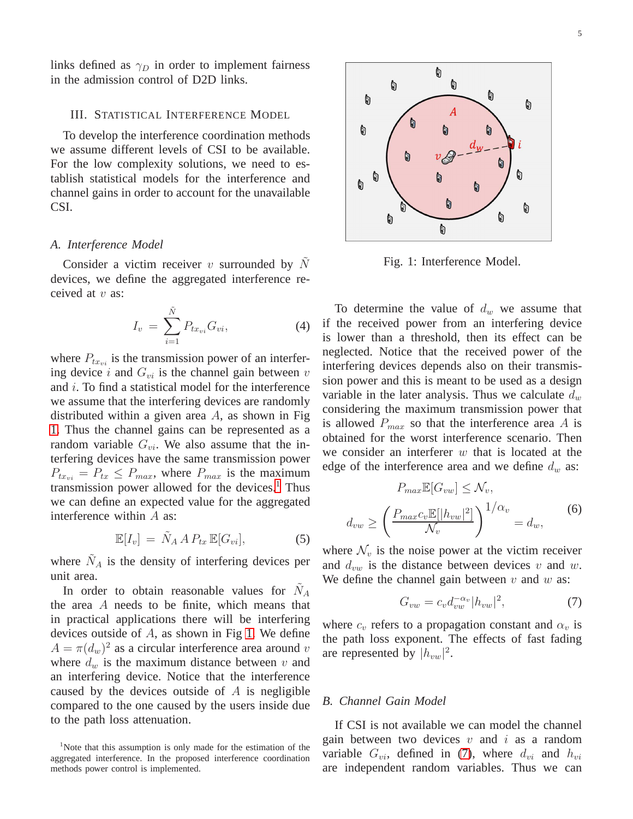links defined as  $\gamma_D$  in order to implement fairness in the admission control of D2D links.

# <span id="page-4-0"></span>III. STATISTICAL INTERFERENCE MODEL

To develop the interference coordination methods we assume different levels of CSI to be available. For the low complexity solutions, we need to establish statistical models for the interference and channel gains in order to account for the unavailable CSI.

## <span id="page-4-4"></span>*A. Interference Model*

Consider a victim receiver  $v$  surrounded by  $N$ devices, we define the aggregated interference received at  $v$  as:

$$
I_v \ = \ \sum_{i=1}^{\tilde{N}} P_{tx_{vi}} G_{vi}, \tag{4}
$$

where  $P_{tx_{ni}}$  is the transmission power of an interfering device  $i$  and  $G_{vi}$  is the channel gain between  $v$ and i. To find a statistical model for the interference we assume that the interfering devices are randomly distributed within a given area  $A$ , as shown in Fig. [1.](#page-4-1) Thus the channel gains can be represented as a random variable  $G_{vi}$ . We also assume that the interfering devices have the same transmission power  $P_{tx_{vi}} = P_{tx} \leq P_{max}$ , where  $P_{max}$  is the maximum transmission power allowed for the devices. $<sup>1</sup>$  $<sup>1</sup>$  $<sup>1</sup>$  Thus</sup> we can define an expected value for the aggregated interference within A as:

$$
\mathbb{E}[I_v] = \tilde{N}_A A P_{tx} \mathbb{E}[G_{vi}], \tag{5}
$$

where  $\tilde{N}_A$  is the density of interfering devices per unit area.

In order to obtain reasonable values for  $\tilde{N}_A$ the area A needs to be finite, which means that in practical applications there will be interfering devices outside of  $A$ , as shown in Fig [1.](#page-4-1) We define  $A = \pi (d_w)^2$  as a circular interference area around v where  $d_w$  is the maximum distance between v and an interfering device. Notice that the interference caused by the devices outside of  $A$  is negligible compared to the one caused by the users inside due to the path loss attenuation.

<span id="page-4-1"></span>

Fig. 1: Interference Model.

To determine the value of  $d_w$  we assume that if the received power from an interfering device is lower than a threshold, then its effect can be neglected. Notice that the received power of the interfering devices depends also on their transmission power and this is meant to be used as a design variable in the later analysis. Thus we calculate  $d_w$ considering the maximum transmission power that is allowed  $P_{max}$  so that the interference area A is obtained for the worst interference scenario. Then we consider an interferer  $w$  that is located at the edge of the interference area and we define  $d_w$  as:

<span id="page-4-6"></span>
$$
P_{max} \mathbb{E}[G_{vw}] \leq \mathcal{N}_v,
$$
  

$$
d_{vw} \geq \left(\frac{P_{max} c_v \mathbb{E}[|h_{vw}|^2]}{\mathcal{N}_v}\right)^{1/\alpha_v} = d_w,
$$
 (6)

where  $\mathcal{N}_v$  is the noise power at the victim receiver and  $d_{vw}$  is the distance between devices v and w. We define the channel gain between  $v$  and  $w$  as:

<span id="page-4-3"></span>
$$
G_{vw} = c_v d_{vw}^{-\alpha_v} |h_{vw}|^2, \tag{7}
$$

where  $c_v$  refers to a propagation constant and  $\alpha_v$  is the path loss exponent. The effects of fast fading are represented by  $|h_{vw}|^2$ .

# <span id="page-4-5"></span>*B. Channel Gain Model*

If CSI is not available we can model the channel gain between two devices  $v$  and  $i$  as a random variable  $G_{vi}$ , defined in [\(7\)](#page-4-3), where  $d_{vi}$  and  $h_{vi}$ are independent random variables. Thus we can

<span id="page-4-2"></span><sup>&</sup>lt;sup>1</sup>Note that this assumption is only made for the estimation of the aggregated interference. In the proposed interference coordination methods power control is implemented.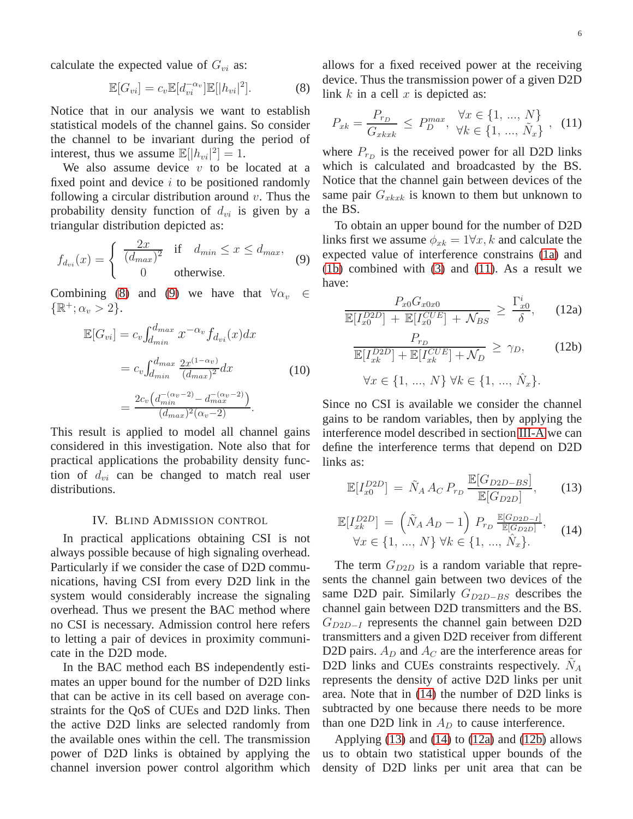calculate the expected value of  $G_{vi}$  as:

<span id="page-5-1"></span>
$$
\mathbb{E}[G_{vi}] = c_v \mathbb{E}[d_{vi}^{-\alpha_v}]\mathbb{E}[|h_{vi}|^2]. \tag{8}
$$

Notice that in our analysis we want to establish statistical models of the channel gains. So consider the channel to be invariant during the period of interest, thus we assume  $\mathbb{E}[|h_{vi}|^2] = 1$ .

We also assume device  $v$  to be located at a fixed point and device  $i$  to be positioned randomly following a circular distribution around  $v$ . Thus the probability density function of  $d_{vi}$  is given by a triangular distribution depicted as:

<span id="page-5-2"></span>
$$
f_{d_{vi}}(x) = \begin{cases} \frac{2x}{(d_{max})^2} & \text{if } d_{min} \le x \le d_{max}, \\ 0 & \text{otherwise.} \end{cases}
$$
(9)

Combining [\(8\)](#page-5-1) and [\(9\)](#page-5-2) we have that  $\forall \alpha_v \in$  $\{\mathbb{R}^+;\alpha_v>2\}.$ 

$$
\mathbb{E}[G_{vi}] = c_v \int_{d_{min}}^{d_{max}} x^{-\alpha_v} f_{d_{vi}}(x) dx
$$
  
=  $c_v \int_{d_{min}}^{d_{max}} \frac{2x^{(1-\alpha_v)}}{(d_{max})^2} dx$  (10)  
=  $\frac{2c_v (d_{min}^{-(\alpha_v-2)} - d_{max}^{-(\alpha_v-2)})}{(d_{max})^2 (\alpha_v-2)}$ .

This result is applied to model all channel gains considered in this investigation. Note also that for practical applications the probability density function of  $d_{vi}$  can be changed to match real user distributions.

# IV. BLIND ADMISSION CONTROL

<span id="page-5-0"></span>In practical applications obtaining CSI is not always possible because of high signaling overhead. Particularly if we consider the case of D2D communications, having CSI from every D2D link in the system would considerably increase the signaling overhead. Thus we present the BAC method where no CSI is necessary. Admission control here refers to letting a pair of devices in proximity communicate in the D2D mode.

In the BAC method each BS independently estimates an upper bound for the number of D2D links that can be active in its cell based on average constraints for the QoS of CUEs and D2D links. Then the active D2D links are selected randomly from the available ones within the cell. The transmission power of D2D links is obtained by applying the channel inversion power control algorithm which allows for a fixed received power at the receiving device. Thus the transmission power of a given D2D link  $k$  in a cell  $x$  is depicted as:

<span id="page-5-3"></span>
$$
P_{xk} = \frac{P_{r_D}}{G_{xkxk}} \le P_D^{max}, \quad \forall x \in \{1, ..., N\} \quad (11)
$$

where  $P_{r_D}$  is the received power for all D2D links which is calculated and broadcasted by the BS. Notice that the channel gain between devices of the same pair  $G_{xkxk}$  is known to them but unknown to the BS.

To obtain an upper bound for the number of D2D links first we assume  $\phi_{x_k} = 1 \forall x, k$  and calculate the expected value of interference constrains [\(1a\)](#page-3-0) and [\(1b\)](#page-3-1) combined with [\(3\)](#page-3-3) and [\(11\)](#page-5-3). As a result we have:

<span id="page-5-6"></span>
$$
\frac{P_{x0}G_{x0x0}}{\mathbb{E}[I_{x0}^{D2D}] + \mathbb{E}[I_{x0}^{CUE}] + \mathcal{N}_{BS}} \ge \frac{\Gamma_{x0}^i}{\delta}, \qquad (12a)
$$

<span id="page-5-7"></span>
$$
\frac{P_{r_D}}{\mathbb{E}[I_{xk}^{D2D}] + \mathbb{E}[I_{xk}^{CUE}] + \mathcal{N}_D} \ge \gamma_D,
$$
\n
$$
\forall x \in \{1, ..., N\} \forall k \in \{1, ..., \hat{N}_x\}.
$$
\n(12b)

Since no CSI is available we consider the channel gains to be random variables, then by applying the interference model described in section [III-A](#page-4-4) we can define the interference terms that depend on D2D links as:

<span id="page-5-5"></span>
$$
\mathbb{E}[I_{x0}^{D2D}] = \tilde{N}_A A_C P_{r_D} \frac{\mathbb{E}[G_{D2D-BS}]}{\mathbb{E}[G_{D2D}]},\qquad(13)
$$

<span id="page-5-4"></span>
$$
\mathbb{E}[I_{xk}^{D2D}] = \left(\tilde{N}_A A_D - 1\right) P_{r_D} \frac{\mathbb{E}[G_{D2D-1}]}{\mathbb{E}[G_{D2D}]},
$$
\n
$$
\forall x \in \{1, ..., N\} \forall k \in \{1, ..., \hat{N}_x\}.
$$
\n(14)

The term  $G_{D2D}$  is a random variable that represents the channel gain between two devices of the same D2D pair. Similarly  $G_{D2D-BS}$  describes the channel gain between D2D transmitters and the BS.  $G_{D2D-I}$  represents the channel gain between D2D transmitters and a given D2D receiver from different D2D pairs.  $A_D$  and  $A_C$  are the interference areas for D2D links and CUEs constraints respectively.  $\tilde{N}_A$ represents the density of active D2D links per unit area. Note that in [\(14\)](#page-5-4) the number of D2D links is subtracted by one because there needs to be more than one D2D link in  $A_D$  to cause interference.

Applying [\(13\)](#page-5-5) and [\(14\)](#page-5-4) to [\(12a\)](#page-5-6) and [\(12b\)](#page-5-7) allows us to obtain two statistical upper bounds of the density of D2D links per unit area that can be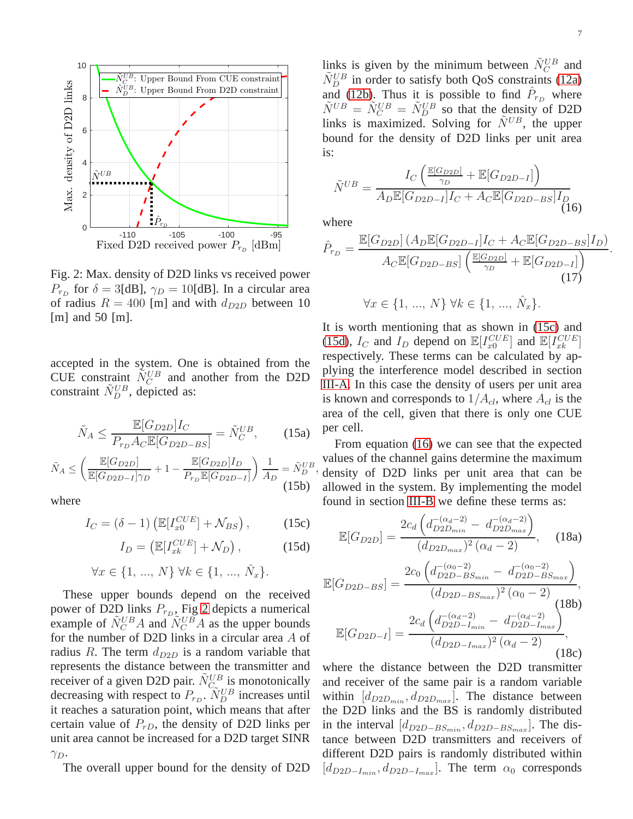<span id="page-6-0"></span>

Fig. 2: Max. density of D2D links vs received power  $P_{r_D}$  for  $\delta = 3[dB]$ ,  $\gamma_D = 10[dB]$ . In a circular area of radius  $R = 400$  [m] and with  $d_{D2D}$  between 10 [m] and 50 [m].

accepted in the system. One is obtained from the CUE constraint  $\tilde{N}_C^{UB}$  and another from the D2D constraint  $\tilde{N}_D^{UB}$ , depicted as:

$$
\tilde{N}_A \le \frac{\mathbb{E}[G_{D2D}]I_C}{P_{r_D}A_C \mathbb{E}[G_{D2D-BS}]} = \tilde{N}_C^{UB},\qquad(15a)
$$

$$
\tilde{N}_A \le \left(\frac{\mathbb{E}[G_{D2D}]}{\mathbb{E}[G_{D2D-I}]\gamma_D} + 1 - \frac{\mathbb{E}[G_{D2D}]I_D}{P_{r_D}\mathbb{E}[G_{D2D-I}]}\right)\frac{1}{A_D} = \tilde{N}_D^{UB}
$$
\n(15b)

where

<span id="page-6-1"></span>
$$
I_C = (\delta - 1) \left( \mathbb{E}[I_{x0}^{CUE}] + \mathcal{N}_{BS} \right), \tag{15c}
$$

<span id="page-6-2"></span> $I_D = \left(\mathbb{E}[I_{xk}^{CUE}] + \mathcal{N}_D\right)$  $(15d)$ 

$$
\forall x \in \{1, ..., N\} \,\forall k \in \{1, ..., \hat{N}_x\}.
$$

These upper bounds depend on the received power of D2D links  $P_{r_D}$ , Fig [2](#page-6-0) depicts a numerical example of  $\tilde{N}_C^{UB}A$  and  $\tilde{N}_C^{UB}A$  as the upper bounds for the number of D2D links in a circular area A of radius R. The term  $d_{D2D}$  is a random variable that represents the distance between the transmitter and receiver of a given D2D pair.  $\tilde{N}_{C_{\infty}}^{UB}$  is monotonically decreasing with respect to  $P_{r_D}$ .  $\tilde{N}_D^{UB}$  increases until it reaches a saturation point, which means that after certain value of  $P_{rD}$ , the density of D2D links per unit area cannot be increased for a D2D target SINR  $\gamma_D$ .

The overall upper bound for the density of D2D

links is given by the minimum between  $\tilde{N}_C^{UB}$  and  $\tilde{N}_{D}^{UB}$  in order to satisfy both QoS constraints [\(12a\)](#page-5-6) and [\(12b\)](#page-5-7). Thus it is possible to find  $\hat{P}_{r_D}$  where  $\tilde{N}^{UB} = \tilde{N}_{C}^{UB} = \tilde{N}_{D}^{UB}$  so that the density of D2D links is maximized. Solving for  $\ddot{N}^{UB}$ , the upper bound for the density of D2D links per unit area is:

<span id="page-6-3"></span>
$$
\tilde{N}^{UB} = \frac{I_C \left( \frac{\mathbb{E}[G_{D2D}]}{\gamma_D} + \mathbb{E}[G_{D2D-I}] \right)}{A_D \mathbb{E}[G_{D2D-I}] I_C + A_C \mathbb{E}[G_{D2D-BS}] I_D}
$$
(16)

where

$$
\hat{P}_{r_D} = \frac{\mathbb{E}[G_{D2D}](A_D \mathbb{E}[G_{D2D-I}]I_C + A_C \mathbb{E}[G_{D2D-BS}]I_D)}{A_C \mathbb{E}[G_{D2D-BS}]\left(\frac{\mathbb{E}[G_{D2D}]}{\gamma_D} + \mathbb{E}[G_{D2D-I}]\right)}.
$$
\n
$$
\forall x \in \{1, ..., N\} \forall k \in \{1, ..., \hat{N}_x\}.
$$
\n(17)

It is worth mentioning that as shown in [\(15c\)](#page-6-1) and [\(15d\)](#page-6-2),  $I_C$  and  $I_D$  depend on  $\mathbb{E}[I_{x0}^{CUE}]$  and  $\mathbb{E}[I_{xk}^{CUE}]$ respectively. These terms can be calculated by applying the interference model described in section [III-A.](#page-4-4) In this case the density of users per unit area is known and corresponds to  $1/A_{cl}$ , where  $A_{cl}$  is the area of the cell, given that there is only one CUE per cell.

 $\overline{D}^{UB}$ , density of D2D links per unit area that can be From equation [\(16\)](#page-6-3) we can see that the expected values of the channel gains determine the maximum allowed in the system. By implementing the model found in section [III-B](#page-4-5) we define these terms as:

$$
\mathbb{E}[G_{D2D}] = \frac{2c_d \left(d_{D2D_{min}}^{-(\alpha_d - 2)} - d_{D2D_{max}}^{-(\alpha_d - 2)}\right)}{(d_{D2D_{max}})^2 (\alpha_d - 2)},
$$
 (18a)

$$
\mathbb{E}[G_{D2D-BS}] = \frac{2c_0 \left(d_{D2D-BS_{min}}^{-(\alpha_0-2)} - d_{D2D-BS_{max}}^{-(\alpha_0-2)}\right)}{(d_{D2D-BS_{max}})^2 (\alpha_0-2)},
$$
\n
$$
\mathbb{E}[G_{D2D-I}] = \frac{2c_d \left(d_{D2D-Im_{in}}^{-(\alpha_d-2)} - d_{D2D-Im_{in}}^{-(\alpha_d-2)}\right)}{(d_{D2D-Im_{in}})^2 (\alpha_d-2)},
$$
\n(18c)

where the distance between the D2D transmitter and receiver of the same pair is a random variable within  $[d_{D2D_{min}}, d_{D2D_{max}}]$ . The distance between the D2D links and the BS is randomly distributed in the interval  $[d_{D2D-BS_{min}}, d_{D2D-BS_{max}}]$ . The distance between D2D transmitters and receivers of different D2D pairs is randomly distributed within  $[d_{D2D-I_{min}}, d_{D2D-I_{max}}]$ . The term  $\alpha_0$  corresponds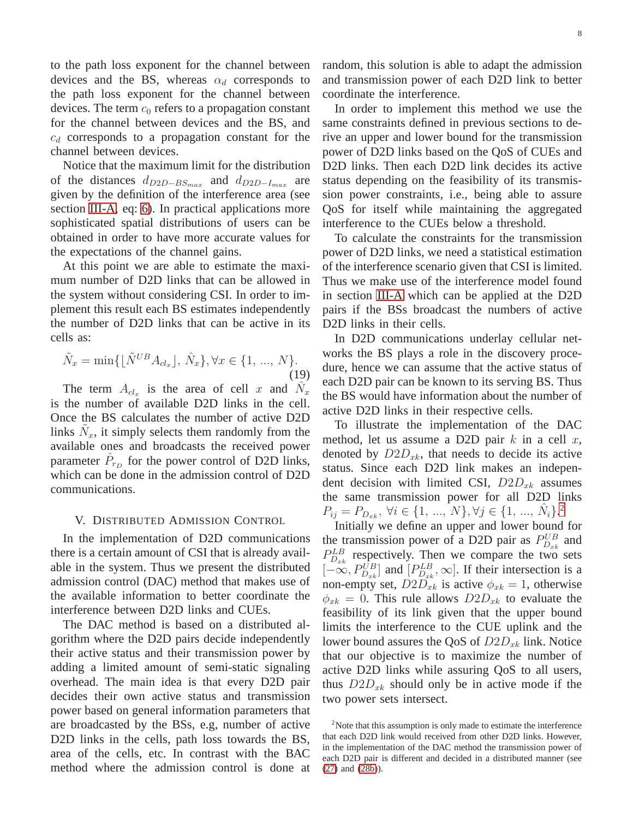to the path loss exponent for the channel between devices and the BS, whereas  $\alpha_d$  corresponds to the path loss exponent for the channel between devices. The term  $c_0$  refers to a propagation constant for the channel between devices and the BS, and  $c_d$  corresponds to a propagation constant for the channel between devices.

Notice that the maximum limit for the distribution of the distances  $d_{D2D-BS_{max}}$  and  $d_{D2D-I_{max}}$  are given by the definition of the interference area (see section [III-A,](#page-4-4) eq: [6\)](#page-4-6). In practical applications more sophisticated spatial distributions of users can be obtained in order to have more accurate values for the expectations of the channel gains.

At this point we are able to estimate the maximum number of D2D links that can be allowed in the system without considering CSI. In order to implement this result each BS estimates independently the number of D2D links that can be active in its cells as:

$$
\tilde{N}_x = \min\{ \lfloor \tilde{N}^{UB} A_{cl_x} \rfloor, \ \hat{N}_x \}, \forall x \in \{1, \ ..., \ N\}.
$$
\n(19)

The term  $A_{cl_x}$  is the area of cell x and  $\hat{N}_x$ is the number of available D2D links in the cell. Once the BS calculates the number of active D2D links  $\tilde{N}_x$ , it simply selects them randomly from the available ones and broadcasts the received power parameter  $\hat{P}_{r_D}$  for the power control of D2D links, which can be done in the admission control of D2D communications.

## <span id="page-7-0"></span>V. DISTRIBUTED ADMISSION CONTROL

In the implementation of D2D communications there is a certain amount of CSI that is already available in the system. Thus we present the distributed admission control (DAC) method that makes use of the available information to better coordinate the interference between D2D links and CUEs.

The DAC method is based on a distributed algorithm where the D2D pairs decide independently their active status and their transmission power by adding a limited amount of semi-static signaling overhead. The main idea is that every D2D pair decides their own active status and transmission power based on general information parameters that are broadcasted by the BSs, e.g, number of active D2D links in the cells, path loss towards the BS, area of the cells, etc. In contrast with the BAC method where the admission control is done at random, this solution is able to adapt the admission and transmission power of each D2D link to better coordinate the interference.

In order to implement this method we use the same constraints defined in previous sections to derive an upper and lower bound for the transmission power of D2D links based on the QoS of CUEs and D2D links. Then each D2D link decides its active status depending on the feasibility of its transmission power constraints, i.e., being able to assure QoS for itself while maintaining the aggregated interference to the CUEs below a threshold.

To calculate the constraints for the transmission power of D2D links, we need a statistical estimation of the interference scenario given that CSI is limited. Thus we make use of the interference model found in section [III-A](#page-4-4) which can be applied at the D2D pairs if the BSs broadcast the numbers of active D2D links in their cells.

In D2D communications underlay cellular networks the BS plays a role in the discovery procedure, hence we can assume that the active status of each D2D pair can be known to its serving BS. Thus the BS would have information about the number of active D2D links in their respective cells.

To illustrate the implementation of the DAC method, let us assume a D2D pair  $k$  in a cell  $x$ , denoted by  $D2D_{x_k}$ , that needs to decide its active status. Since each D2D link makes an independent decision with limited CSI,  $D2D_{x^k}$  assumes the same transmission power for all D2D links  $P_{ij} = P_{D_{xk}}, \ \forall i \in \{1, ..., N\}, \forall j \in \{1, ..., \hat{N}_i\}.^2$  $P_{ij} = P_{D_{xk}}, \ \forall i \in \{1, ..., N\}, \forall j \in \{1, ..., \hat{N}_i\}.^2$ 

Initially we define an upper and lower bound for the transmission power of a D2D pair as  $P_{D_{xk}}^{UB}$  and  $P_{D_{xk}}^{LB}$  respectively. Then we compare the two sets  $[-\infty, P_{D_{xk}}^{UB}]$  and  $[P_{D_{xk}}^{LB}, \infty]$ . If their intersection is a non-empty set,  $D2D_{x^k}$  is active  $\phi_{x^k} = 1$ , otherwise  $\phi_{xk} = 0$ . This rule allows  $D2D_{xk}$  to evaluate the feasibility of its link given that the upper bound limits the interference to the CUE uplink and the lower bound assures the QoS of  $D2D_{x^k}$  link. Notice that our objective is to maximize the number of active D2D links while assuring QoS to all users, thus  $D2D_{x^k}$  should only be in active mode if the two power sets intersect.

<span id="page-7-1"></span><sup>&</sup>lt;sup>2</sup>Note that this assumption is only made to estimate the interference that each D2D link would received from other D2D links. However, in the implementation of the DAC method the transmission power of each D2D pair is different and decided in a distributed manner (see [\(27\)](#page-9-0) and [\(28b\)](#page-9-1)).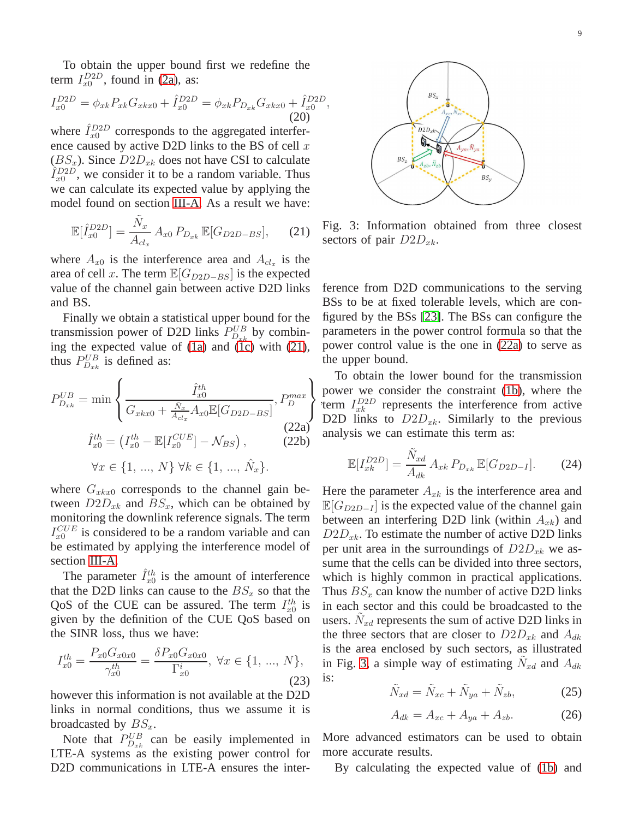To obtain the upper bound first we redefine the term  $I_{x0}^{D2D}$ , found in [\(2a\)](#page-3-4), as:

$$
I_{x0}^{D2D} = \phi_{xk} P_{xk} G_{xkx0} + \hat{I}_{x0}^{D2D} = \phi_{xk} P_{D_{xk}} G_{xkx0} + \hat{I}_{x0}^{D2D}
$$
\n(20)

where  $\hat{I}_{x0}^{D2D}$  corresponds to the aggregated interference caused by active D2D links to the BS of cell  $x$  $(BS_x)$ . Since  $D2D_{x_k}$  does not have CSI to calculate  $\hat{I}_{x0}^{D2D}$ , we consider it to be a random variable. Thus we can calculate its expected value by applying the model found on section [III-A.](#page-4-4) As a result we have:

<span id="page-8-0"></span>
$$
\mathbb{E}[\hat{I}_{x0}^{D2D}] = \frac{\tilde{N}_x}{A_{cl_x}} A_{x0} P_{D_{xk}} \mathbb{E}[G_{D2D-BS}], \quad (21)
$$

where  $A_{x0}$  is the interference area and  $A_{cl_x}$  is the area of cell x. The term  $\mathbb{E}[G_{D2D-BS}]$  is the expected value of the channel gain between active D2D links and BS.

Finally we obtain a statistical upper bound for the transmission power of D2D links  $P_{D_{xk}}^{UB}$  by combining the expected value of  $(1a)$  and  $(1c)$  with  $(21)$ , thus  $P_{D_{xk}}^{UB}$  is defined as:

<span id="page-8-1"></span>
$$
P_{D_{xk}}^{UB} = \min \left\{ \frac{\hat{I}_{x0}^{th}}{G_{x k x 0} + \frac{\tilde{N}_x}{A_{c l_x}} A_{x0} \mathbb{E}[G_{D2D - BS}]} , P_D^{max} \right\}
$$
(22a)

$$
\hat{I}_{x0}^{th} = \left(I_{x0}^{th} - \mathbb{E}[I_{x0}^{CUE}] - \mathcal{N}_{BS}\right),\tag{22b}
$$

$$
\forall x \in \{1, ..., N\} \; \forall k \in \{1, ..., \hat{N}_x\}.
$$

where  $G_{x k x 0}$  corresponds to the channel gain between  $D2D_{x^k}$  and  $BS_x$ , which can be obtained by monitoring the downlink reference signals. The term  $I_{x0}^{CUE}$  is considered to be a random variable and can be estimated by applying the interference model of section [III-A.](#page-4-4)

The parameter  $\hat{I}_{x0}^{th}$  is the amount of interference that the D2D links can cause to the  $BS_x$  so that the QoS of the CUE can be assured. The term  $I_{x0}^{th}$  is given by the definition of the CUE QoS based on the SINR loss, thus we have:

$$
I_{x0}^{th} = \frac{P_{x0} G_{x0x0}}{\gamma_{x0}^{th}} = \frac{\delta P_{x0} G_{x0x0}}{\Gamma_{x0}^{i}}, \ \forall x \in \{1, ..., N\},\tag{23}
$$

however this information is not available at the D2D links in normal conditions, thus we assume it is broadcasted by  $BS_x$ .

Note that  $P_{D_{x,k}}^{UB}$  can be easily implemented in LTE-A systems as the existing power control for D2D communications in LTE-A ensures the inter-

<span id="page-8-2"></span>

,

Fig. 3: Information obtained from three closest sectors of pair  $D2D_{x^k}$ .

ference from D2D communications to the serving BSs to be at fixed tolerable levels, which are configured by the BSs [\[23\]](#page-15-8). The BSs can configure the parameters in the power control formula so that the power control value is the one in [\(22a\)](#page-8-1) to serve as the upper bound.

term  $I_{xk}^{D2D}$  represents the interference from active To obtain the lower bound for the transmission power we consider the constraint [\(1b\)](#page-3-1), where the D2D links to  $D2D_{x_k}$ . Similarly to the previous analysis we can estimate this term as:

<span id="page-8-3"></span>
$$
\mathbb{E}[I_{xk}^{D2D}] = \frac{\tilde{N}_{xd}}{A_{dk}} A_{xk} P_{D_{xk}} \mathbb{E}[G_{D2D-I}].
$$
 (24)

Here the parameter  $A_{x_k}$  is the interference area and  $\mathbb{E}[G_{D2D-I}]$  is the expected value of the channel gain between an interfering D2D link (within  $A_{xk}$ ) and  $D2D_{x_k}$ . To estimate the number of active D2D links per unit area in the surroundings of  $D2D_{x^k}$  we assume that the cells can be divided into three sectors, which is highly common in practical applications. Thus  $BS_x$  can know the number of active D2D links in each sector and this could be broadcasted to the users.  $\tilde{N}_{xd}$  represents the sum of active D2D links in the three sectors that are closer to  $D2D_{x^k}$  and  $A_{dk}$ is the area enclosed by such sectors, as illustrated in Fig. [3,](#page-8-2) a simple way of estimating  $\tilde{N}_{xd}$  and  $A_{dk}$ is:

$$
\tilde{N}_{xd} = \tilde{N}_{xc} + \tilde{N}_{ya} + \tilde{N}_{zb},
$$
\n(25)

$$
A_{dk} = A_{xc} + A_{ya} + A_{zb}.
$$
 (26)

More advanced estimators can be used to obtain more accurate results.

By calculating the expected value of [\(1b\)](#page-3-1) and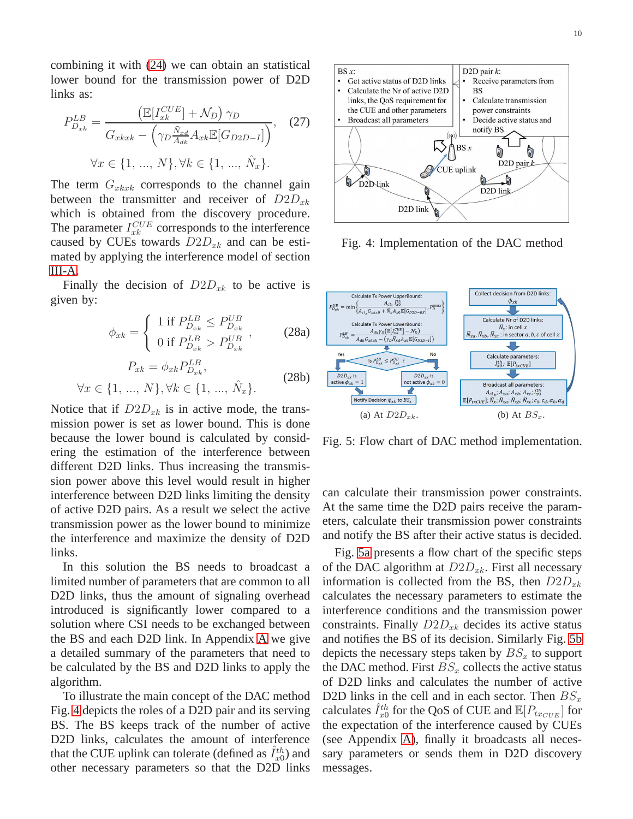combining it with [\(24\)](#page-8-3) we can obtain an statistical lower bound for the transmission power of D2D links as:

<span id="page-9-0"></span>
$$
P_{D_{xk}}^{LB} = \frac{\left(\mathbb{E}[I_{xk}^{CUE}] + \mathcal{N}_D\right)\gamma_D}{G_{xkxk} - \left(\gamma_D \frac{\tilde{N}_{xd}}{A_{dk}} A_{xk} \mathbb{E}[G_{D2D-I}]\right)},\tag{27}
$$

$$
\forall x \in \{1, ..., N\}, \forall k \in \{1, ..., \hat{N}_x\}.
$$

The term  $G_{xkxk}$  corresponds to the channel gain between the transmitter and receiver of  $D2D_{xk}$ which is obtained from the discovery procedure. The parameter  $I_{xk}^{CUE}$  corresponds to the interference caused by CUEs towards  $D2D_{x^k}$  and can be estimated by applying the interference model of section [III-A.](#page-4-4)

Finally the decision of  $D2D_{x^k}$  to be active is given by:

$$
\phi_{xk} = \begin{cases}\n1 \text{ if } P_{D_{xk}}^{LB} \le P_{D_{xk}}^{UB} \\
0 \text{ if } P_{D_{xk}}^{LB} > P_{D_{xk}}^{UB}\n\end{cases},\n\quad (28a)
$$
\n
$$
P_{xk} = \phi_{xk} P_{D_{xk}}^{LB},
$$
\n
$$
\forall x \in \{1, ..., N\}, \forall k \in \{1, ..., \hat{N}_x\}.
$$
\n(28b)

<span id="page-9-1"></span>Notice that if 
$$
D2D_{x^k}
$$
 is in active mode, the trans-  
mission power is set as lower bound. This is done  
because the lower bound is calculated by consid-  
ering the estimation of the interference between  
different D2D links. Thus increasing the transmis-  
sion power above this level would result in higher  
interference between D2D links limiting the density  
of active D2D pairs. As a result we select the active  
transmission power as the lower bound to minimize  
the interference and maximize the density of D2D  
links.

In this solution the BS needs to broadcast a limited number of parameters that are common to all D2D links, thus the amount of signaling overhead introduced is significantly lower compared to a solution where CSI needs to be exchanged between the BS and each D2D link. In Appendix [A](#page-14-13) we give a detailed summary of the parameters that need to be calculated by the BS and D2D links to apply the algorithm.

To illustrate the main concept of the DAC method Fig. [4](#page-9-2) depicts the roles of a D2D pair and its serving BS. The BS keeps track of the number of active D2D links, calculates the amount of interference that the CUE uplink can tolerate (defined as  $\hat{I}_{x0}^{th}$ ) and other necessary parameters so that the D2D links

<span id="page-9-2"></span>

Fig. 4: Implementation of the DAC method

<span id="page-9-3"></span>

<span id="page-9-4"></span>Fig. 5: Flow chart of DAC method implementation.

can calculate their transmission power constraints. At the same time the D2D pairs receive the parameters, calculate their transmission power constraints and notify the BS after their active status is decided.

Fig. [5a](#page-9-3) presents a flow chart of the specific steps of the DAC algorithm at  $D2D_{x_k}$ . First all necessary information is collected from the BS, then  $D2D_{xk}$ calculates the necessary parameters to estimate the interference conditions and the transmission power constraints. Finally  $D2D_{x^k}$  decides its active status and notifies the BS of its decision. Similarly Fig. [5b](#page-9-4) depicts the necessary steps taken by  $BS_x$  to support the DAC method. First  $BS_x$  collects the active status of D2D links and calculates the number of active D2D links in the cell and in each sector. Then  $BS_x$ calculates  $\hat{I}^{th}_{x0}$  for the QoS of CUE and  $\mathbb{E}[P_{tx_{CUE}}]$  for the expectation of the interference caused by CUEs (see Appendix [A\)](#page-14-13), finally it broadcasts all necessary parameters or sends them in D2D discovery messages.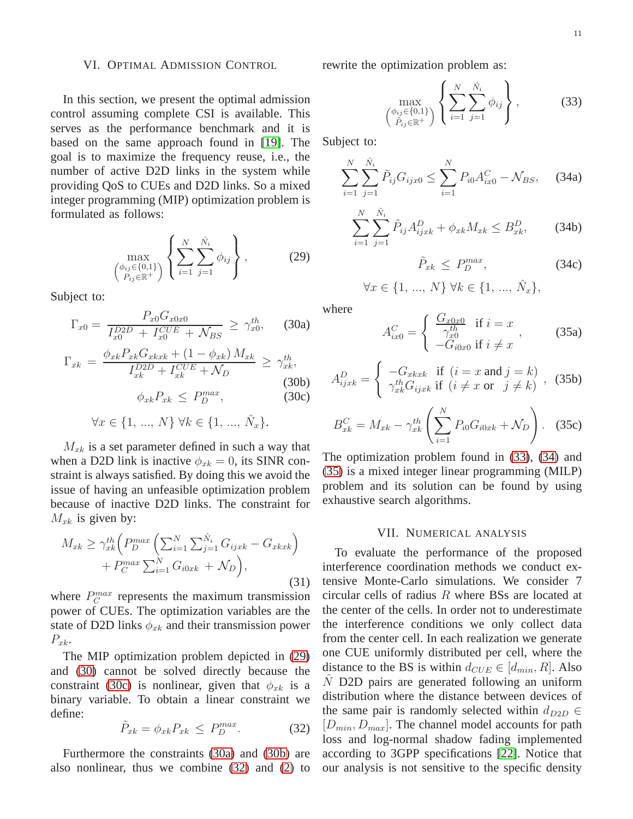#### <span id="page-10-0"></span>VI. OPTIMAL ADMISSION CONTROL

In this section, we present the optimal admission control assuming complete CSI is available. This serves as the performance benchmark and it is based on the same approach found in [\[19\]](#page-15-4). The goal is to maximize the frequency reuse, i.e., the number of active D2D links in the system while providing QoS to CUEs and D2D links. So a mixed integer programming (MIP) optimization problem is formulated as follows:

<span id="page-10-2"></span>
$$
\max_{\begin{pmatrix} \phi_{ij} \in \{0,1\} \\ P_{ij} \in \mathbb{R}^+ \end{pmatrix}} \left\{ \sum_{i=1}^N \sum_{j=1}^{\hat{N}_i} \phi_{ij} \right\},
$$
 (29)

Subject to:

<span id="page-10-5"></span><span id="page-10-3"></span>
$$
\Gamma_{x0} = \frac{P_{x0} G_{x0x0}}{I_{x0}^{D2D} + I_{x0}^{CUE} + \mathcal{N}_{BS}} \ge \gamma_{x0}^{th}, \quad (30a)
$$

<span id="page-10-6"></span>
$$
\Gamma_{xk} = \frac{\phi_{xk} P_{xk} G_{xkxk} + (1 - \phi_{xk}) M_{xk}}{I_{xk}^{D2D} + I_{xk}^{CUE} + \mathcal{N}_D} \ge \gamma_{xk}^{th},
$$
\n(30b)

<span id="page-10-4"></span>
$$
\phi_{xk} P_{xk} \le P_D^{max}, \tag{30c}
$$

$$
\forall x \in \{1, ..., N\} \,\forall k \in \{1, ..., \hat{N}_x\}.
$$

 $M_{xk}$  is a set parameter defined in such a way that when a D2D link is inactive  $\phi_{xk} = 0$ , its SINR constraint is always satisfied. By doing this we avoid the issue of having an unfeasible optimization problem because of inactive D2D links. The constraint for  $M_{xk}$  is given by:

$$
M_{xk} \ge \gamma_{xk}^{th} \left( P_D^{max} \left( \sum_{i=1}^N \sum_{j=1}^{\hat{N}_i} G_{ijxk} - G_{xkxk} \right) + P_C^{max} \sum_{i=1}^N G_{i0xk} + \mathcal{N}_D \right),\tag{31}
$$

where  $P_C^{max}$  represents the maximum transmission power of CUEs. The optimization variables are the state of D2D links  $\phi_{xk}$  and their transmission power  $P_{x_k}$ .

The MIP optimization problem depicted in [\(29\)](#page-10-2) and [\(30\)](#page-10-3) cannot be solved directly because the constraint [\(30c\)](#page-10-4) is nonlinear, given that  $\phi_{xk}$  is a binary variable. To obtain a linear constraint we define:

<span id="page-10-7"></span>
$$
\tilde{P}_{xk} = \phi_{xk} P_{xk} \le P_D^{max}.
$$
 (32)

Furthermore the constraints [\(30a\)](#page-10-5) and [\(30b\)](#page-10-6) are also nonlinear, thus we combine [\(32\)](#page-10-7) and [\(2\)](#page-3-5) to rewrite the optimization problem as:

<span id="page-10-8"></span>
$$
\max_{\begin{pmatrix} \phi_{ij} \in \{0,1\} \\ \tilde{P}_{ij} \in \mathbb{R}^+ \end{pmatrix}} \left\{ \sum_{i=1}^N \sum_{j=1}^{\hat{N}_i} \phi_{ij} \right\},\tag{33}
$$

Subject to:

<span id="page-10-9"></span>
$$
\sum_{i=1}^{N} \sum_{j=1}^{\hat{N}_i} \tilde{P}_{ij} G_{ijx0} \le \sum_{i=1}^{N} P_{i0} A_{ix0}^C - \mathcal{N}_{BS}, \quad (34a)
$$

$$
\sum_{i=1}^{N} \sum_{j=1}^{\hat{N}_i} \tilde{P}_{ij} A_{ijxk}^D + \phi_{xk} M_{xk} \le B_{xk}^D, \qquad (34b)
$$

$$
\tilde{P}_{xk} \le P_D^{max}, \tag{34c}
$$

<span id="page-10-10"></span>
$$
\forall x \in \{1, ..., N\} \,\forall k \in \{1, ..., \hat{N}_x\},
$$

where

$$
A_{ix0}^C = \begin{cases} \frac{G_{x0x0}}{\gamma_{x0}^{th}} & \text{if } i = x \\ -G_{i0x0} & \text{if } i \neq x \end{cases}, \tag{35a}
$$

$$
A_{ijxk}^D = \begin{cases} -G_{xkxk} & \text{if } (i = x \text{ and } j = k) \\ \gamma_{xk}^{th} G_{ijxk} & \text{if } (i \neq x \text{ or } j \neq k) \end{cases}, (35b)
$$

$$
B_{xk}^C = M_{xk} - \gamma_{xk}^{th} \left( \sum_{i=1}^N P_{i0} G_{i0xk} + \mathcal{N}_D \right). \quad (35c)
$$

The optimization problem found in [\(33\)](#page-10-8), [\(34\)](#page-10-9) and [\(35\)](#page-10-10) is a mixed integer linear programming (MILP) problem and its solution can be found by using exhaustive search algorithms.

## VII. NUMERICAL ANALYSIS

<span id="page-10-1"></span>To evaluate the performance of the proposed interference coordination methods we conduct extensive Monte-Carlo simulations. We consider 7 circular cells of radius R where BSs are located at the center of the cells. In order not to underestimate the interference conditions we only collect data from the center cell. In each realization we generate one CUE uniformly distributed per cell, where the distance to the BS is within  $d_{CUE} \in [d_{min}, R]$ . Also  $\hat{N}$  D2D pairs are generated following an uniform distribution where the distance between devices of the same pair is randomly selected within  $d_{D2D} \in$  $[D_{min}, D_{max}]$ . The channel model accounts for path loss and log-normal shadow fading implemented according to 3GPP specifications [\[22\]](#page-15-9). Notice that our analysis is not sensitive to the specific density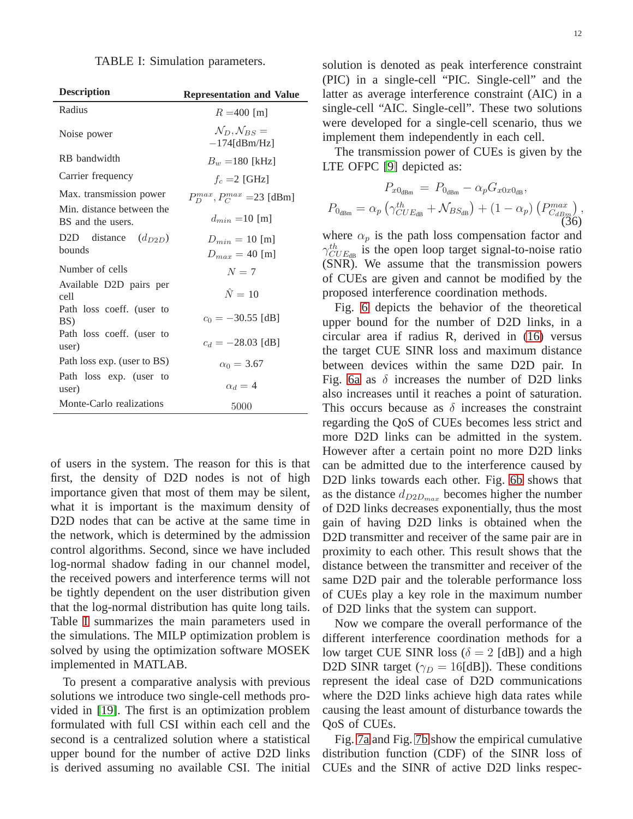| TABLE I: Simulation parameters. |  |
|---------------------------------|--|
|---------------------------------|--|

<span id="page-11-0"></span>

| <b>Description</b>                             | <b>Representation and Value</b>                        |
|------------------------------------------------|--------------------------------------------------------|
| Radius                                         | $R = 400$ [m]                                          |
| Noise power                                    | $\mathcal{N}_D, \mathcal{N}_{BS} =$<br>$-174$ [dBm/Hz] |
| RB bandwidth                                   | $B_w = 180$ [kHz]                                      |
| Carrier frequency                              | $f_c = 2$ [GHz]                                        |
| Max. transmission power                        | $P_D^{max}, P_C^{max} = 23$ [dBm]                      |
| Min. distance between the<br>BS and the users. | $d_{min} = 10$ [m]                                     |
| D2D distance $(d_{D2D})$                       | $D_{min} = 10$ [m]                                     |
| <b>bounds</b>                                  | $D_{max} = 40$ [m]                                     |
| Number of cells                                | $N=7$                                                  |
| Available D2D pairs per<br>cell                | $\hat{N}=10$                                           |
| Path loss coeff. (user to<br>BS)               | $c_0 = -30.55$ [dB]                                    |
| Path loss coeff. (user to<br>user)             | $c_d = -28.03$ [dB]                                    |
| Path loss exp. (user to BS)                    | $\alpha_0 = 3.67$                                      |
| Path loss exp. (user to<br>user)               | $\alpha_d = 4$                                         |
| Monte-Carlo realizations                       | 5000                                                   |

of users in the system. The reason for this is that first, the density of D2D nodes is not of high importance given that most of them may be silent, what it is important is the maximum density of D2D nodes that can be active at the same time in the network, which is determined by the admission control algorithms. Second, since we have included log-normal shadow fading in our channel model, the received powers and interference terms will not be tightly dependent on the user distribution given that the log-normal distribution has quite long tails. Table [I](#page-11-0) summarizes the main parameters used in the simulations. The MILP optimization problem is solved by using the optimization software MOSEK implemented in MATLAB.

To present a comparative analysis with previous solutions we introduce two single-cell methods provided in [\[19\]](#page-15-4). The first is an optimization problem formulated with full CSI within each cell and the second is a centralized solution where a statistical upper bound for the number of active D2D links is derived assuming no available CSI. The initial

solution is denoted as peak interference constraint (PIC) in a single-cell "PIC. Single-cell" and the latter as average interference constraint (AIC) in a single-cell "AIC. Single-cell". These two solutions were developed for a single-cell scenario, thus we implement them independently in each cell.

The transmission power of CUEs is given by the LTE OFPC [\[9\]](#page-14-8) depicted as:

$$
P_{x0_{\text{dBm}}} = P_{0_{\text{dBm}}} - \alpha_p G_{x0x0_{\text{dB}}},
$$
  

$$
P_{0_{\text{dBm}}} = \alpha_p \left( \gamma_{CUE_{\text{dB}}}^{th} + \mathcal{N}_{BS_{\text{dB}}} \right) + (1 - \alpha_p) \left( P_{C_{\text{dBm}}}^{max} \right),
$$
  
(36)

where  $\alpha_p$  is the path loss compensation factor and  $\gamma_{CUE_{dB}}^{th}$  is the open loop target signal-to-noise ratio (SNR). We assume that the transmission powers of CUEs are given and cannot be modified by the proposed interference coordination methods.

Fig. [6](#page-12-0) depicts the behavior of the theoretical upper bound for the number of D2D links, in a circular area if radius R, derived in [\(16\)](#page-6-3) versus the target CUE SINR loss and maximum distance between devices within the same D2D pair. In Fig. [6a](#page-12-1) as  $\delta$  increases the number of D2D links also increases until it reaches a point of saturation. This occurs because as  $\delta$  increases the constraint regarding the QoS of CUEs becomes less strict and more D2D links can be admitted in the system. However after a certain point no more D2D links can be admitted due to the interference caused by D2D links towards each other. Fig. [6b](#page-12-2) shows that as the distance  $d_{D2D_{max}}$  becomes higher the number of D2D links decreases exponentially, thus the most gain of having D2D links is obtained when the D2D transmitter and receiver of the same pair are in proximity to each other. This result shows that the distance between the transmitter and receiver of the same D2D pair and the tolerable performance loss of CUEs play a key role in the maximum number of D2D links that the system can support.

Now we compare the overall performance of the different interference coordination methods for a low target CUE SINR loss ( $\delta = 2$  [dB]) and a high D2D SINR target ( $\gamma_D = 16$ [dB]). These conditions represent the ideal case of D2D communications where the D2D links achieve high data rates while causing the least amount of disturbance towards the QoS of CUEs.

Fig. [7a](#page-12-3) and Fig. [7b](#page-12-4) show the empirical cumulative distribution function (CDF) of the SINR loss of CUEs and the SINR of active D2D links respec-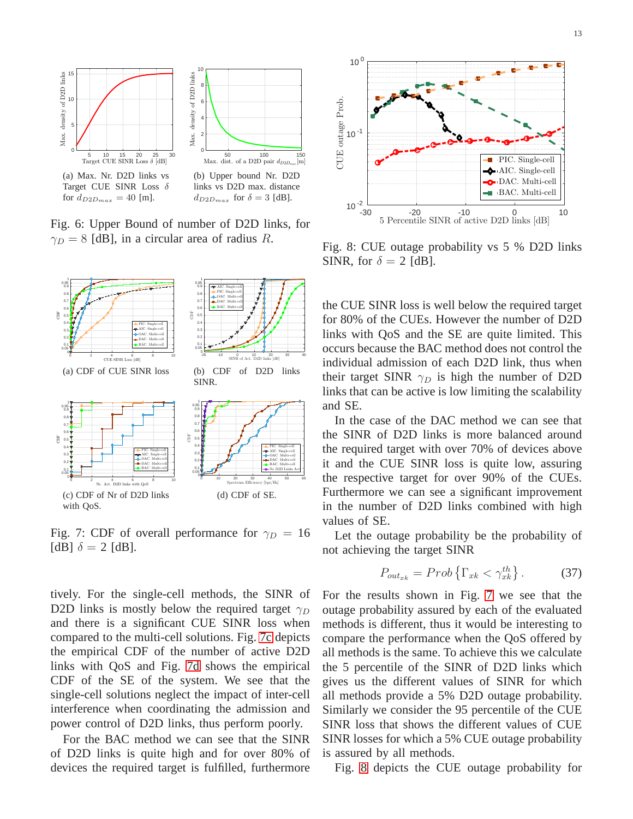<span id="page-12-1"></span><span id="page-12-0"></span>

<span id="page-12-2"></span>Fig. 6: Upper Bound of number of D2D links, for  $\gamma_D = 8$  [dB], in a circular area of radius R.

<span id="page-12-7"></span><span id="page-12-5"></span><span id="page-12-3"></span>

<span id="page-12-6"></span>Fig. 7: CDF of overall performance for  $\gamma_D = 16$ [dB]  $\delta = 2$  [dB].

tively. For the single-cell methods, the SINR of D2D links is mostly below the required target  $\gamma_D$ and there is a significant CUE SINR loss when compared to the multi-cell solutions. Fig. [7c](#page-12-5) depicts the empirical CDF of the number of active D2D links with QoS and Fig. [7d](#page-12-6) shows the empirical CDF of the SE of the system. We see that the single-cell solutions neglect the impact of inter-cell interference when coordinating the admission and power control of D2D links, thus perform poorly.

For the BAC method we can see that the SINR of D2D links is quite high and for over 80% of devices the required target is fulfilled, furthermore

<span id="page-12-8"></span>

Fig. 8: CUE outage probability vs 5 % D2D links SINR, for  $\delta = 2$  [dB].

<span id="page-12-4"></span>the CUE SINR loss is well below the required target for 80% of the CUEs. However the number of D2D links with QoS and the SE are quite limited. This occurs because the BAC method does not control the individual admission of each D2D link, thus when their target SINR  $\gamma_D$  is high the number of D2D links that can be active is low limiting the scalability and SE.

In the case of the DAC method we can see that the SINR of D2D links is more balanced around the required target with over 70% of devices above it and the CUE SINR loss is quite low, assuring the respective target for over 90% of the CUEs. Furthermore we can see a significant improvement in the number of D2D links combined with high values of SE.

Let the outage probability be the probability of not achieving the target SINR

$$
P_{out_{xk}} = Prob\left\{\Gamma_{xk} < \gamma_{xk}^{th}\right\}.\tag{37}
$$

For the results shown in Fig. [7](#page-12-7) we see that the outage probability assured by each of the evaluated methods is different, thus it would be interesting to compare the performance when the QoS offered by all methods is the same. To achieve this we calculate the 5 percentile of the SINR of D2D links which gives us the different values of SINR for which all methods provide a 5% D2D outage probability. Similarly we consider the 95 percentile of the CUE SINR loss that shows the different values of CUE SINR losses for which a 5% CUE outage probability is assured by all methods.

Fig. [8](#page-12-8) depicts the CUE outage probability for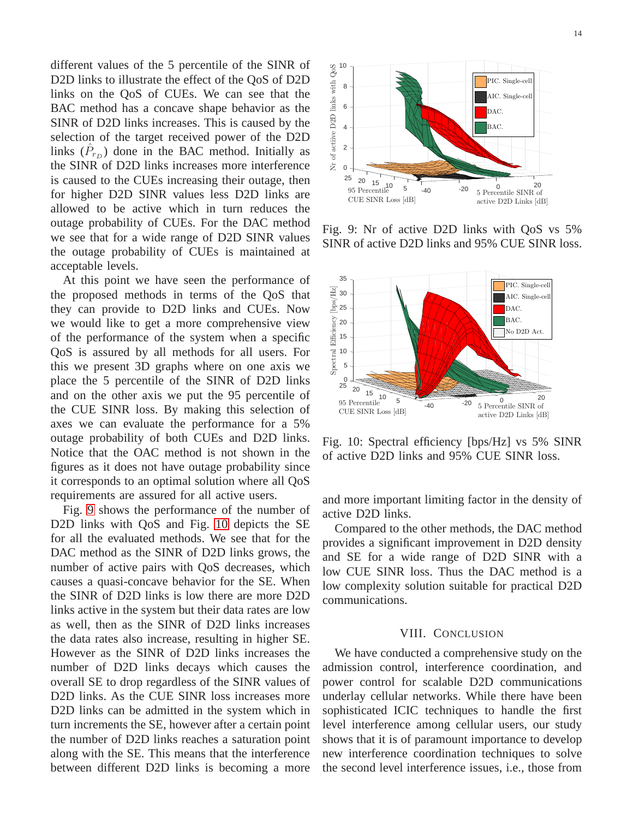different values of the 5 percentile of the SINR of D2D links to illustrate the effect of the QoS of D2D links on the QoS of CUEs. We can see that the BAC method has a concave shape behavior as the SINR of D2D links increases. This is caused by the selection of the target received power of the D2D links  $(\hat{P}_{r_D})$  done in the BAC method. Initially as the SINR of D2D links increases more interference is caused to the CUEs increasing their outage, then for higher D2D SINR values less D2D links are allowed to be active which in turn reduces the outage probability of CUEs. For the DAC method we see that for a wide range of D2D SINR values the outage probability of CUEs is maintained at acceptable levels.

At this point we have seen the performance of the proposed methods in terms of the QoS that they can provide to D2D links and CUEs. Now we would like to get a more comprehensive view of the performance of the system when a specific QoS is assured by all methods for all users. For this we present 3D graphs where on one axis we place the 5 percentile of the SINR of D2D links and on the other axis we put the 95 percentile of the CUE SINR loss. By making this selection of axes we can evaluate the performance for a 5% outage probability of both CUEs and D2D links. Notice that the OAC method is not shown in the figures as it does not have outage probability since it corresponds to an optimal solution where all QoS requirements are assured for all active users.

Fig. [9](#page-13-1) shows the performance of the number of D2D links with QoS and Fig. [10](#page-13-2) depicts the SE for all the evaluated methods. We see that for the DAC method as the SINR of D2D links grows, the number of active pairs with QoS decreases, which causes a quasi-concave behavior for the SE. When the SINR of D2D links is low there are more D2D links active in the system but their data rates are low as well, then as the SINR of D2D links increases the data rates also increase, resulting in higher SE. However as the SINR of D2D links increases the number of D2D links decays which causes the overall SE to drop regardless of the SINR values of D2D links. As the CUE SINR loss increases more D2D links can be admitted in the system which in turn increments the SE, however after a certain point the number of D2D links reaches a saturation point along with the SE. This means that the interference between different D2D links is becoming a more

<span id="page-13-1"></span>

Fig. 9: Nr of active D2D links with QoS vs 5% SINR of active D2D links and 95% CUE SINR loss.

<span id="page-13-2"></span>

Fig. 10: Spectral efficiency [bps/Hz] vs 5% SINR of active D2D links and 95% CUE SINR loss.

and more important limiting factor in the density of active D2D links.

Compared to the other methods, the DAC method provides a significant improvement in D2D density and SE for a wide range of D2D SINR with a low CUE SINR loss. Thus the DAC method is a low complexity solution suitable for practical D2D communications.

# VIII. CONCLUSION

<span id="page-13-0"></span>We have conducted a comprehensive study on the admission control, interference coordination, and power control for scalable D2D communications underlay cellular networks. While there have been sophisticated ICIC techniques to handle the first level interference among cellular users, our study shows that it is of paramount importance to develop new interference coordination techniques to solve the second level interference issues, i.e., those from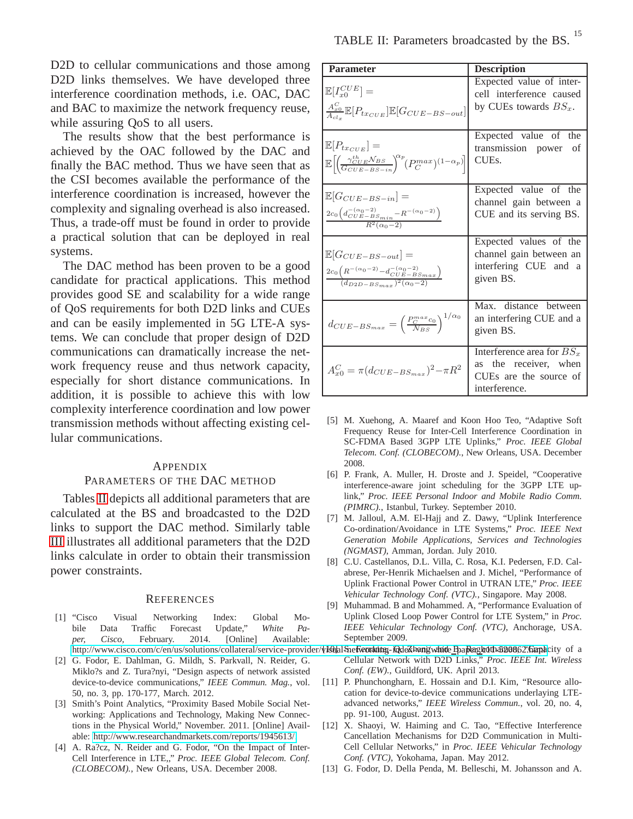D2D to cellular communications and those among D2D links themselves. We have developed three interference coordination methods, i.e. OAC, DAC and BAC to maximize the network frequency reuse, while assuring QoS to all users.

The results show that the best performance is achieved by the OAC followed by the DAC and finally the BAC method. Thus we have seen that as the CSI becomes available the performance of the interference coordination is increased, however the complexity and signaling overhead is also increased. Thus, a trade-off must be found in order to provide a practical solution that can be deployed in real systems.

The DAC method has been proven to be a good candidate for practical applications. This method provides good SE and scalability for a wide range of QoS requirements for both D2D links and CUEs and can be easily implemented in 5G LTE-A systems. We can conclude that proper design of D2D communications can dramatically increase the network frequency reuse and thus network capacity, especially for short distance communications. In addition, it is possible to achieve this with low complexity interference coordination and low power transmission methods without affecting existing cellular communications.

## <span id="page-14-13"></span>**APPENDIX**

## PARAMETERS OF THE DAC METHOD

Tables [II](#page-14-14) depicts all additional parameters that are calculated at the BS and broadcasted to the D2D links to support the DAC method. Similarly table [III](#page-15-10) illustrates all additional parameters that the D2D links calculate in order to obtain their transmission power constraints.

## **REFERENCES**

- <span id="page-14-0"></span>[1] "Cisco Visual Networking Index: Global Mobile Data Traffic Forecast Update," *White Paper, Cisco,* February. 2014. [Online] Available:
- <span id="page-14-1"></span>[2] G. Fodor, E. Dahlman, G. Mildh, S. Parkvall, N. Reider, G. Miklo?s and Z. Tura?nyi, "Design aspects of network assisted device-to-device communications," *IEEE Commun. Mag.*, vol. 50, no. 3, pp. 170-177, March. 2012.
- <span id="page-14-2"></span>[3] Smith's Point Analytics, "Proximity Based Mobile Social Networking: Applications and Technology, Making New Connections in the Physical World," November. 2011. [Online] Available: [http://www.researchandmarkets.com/reports/1945613/.](http://www.researchandmarkets.com/reports/1945613/)
- <span id="page-14-3"></span>[4] A. Ra?cz, N. Reider and G. Fodor, "On the Impact of Inter-Cell Interference in LTE,," *Proc. IEEE Global Telecom. Conf. (CLOBECOM).*, New Orleans, USA. December 2008.

<span id="page-14-14"></span>

| <b>Parameter</b>                                                                                                                                                        | <b>Description</b>                                                                              |
|-------------------------------------------------------------------------------------------------------------------------------------------------------------------------|-------------------------------------------------------------------------------------------------|
| $\mathbb{E}[I_{x0}^{CUE}]=$<br>$\frac{A_{x0}^C}{A_{xI}}\mathbb{E}[P_{tx_{CUE}}]\mathbb{E}[G_{CUE-BS-out}]$                                                              | Expected value of inter-<br>cell interference caused<br>by CUEs towards $BS_x$ .                |
| $\mathbb{E}[P_{tx_{CUE}}]=$<br>$\mathbb{E}\left[\left(\frac{\gamma_{CUE}^{th}\mathcal{N}_{BS}}{G_{CUE-BS-in}}\right)^{\alpha_{p}}(P_{C}^{max})^{(1-\alpha_{p})}\right]$ | Expected value of the<br>transmission power of<br>CUE <sub>s</sub> .                            |
| $\mathbb{E}[G_{CUE-BS-in}]=$<br>$\frac{2c_0\left(d_{CUE-BS_{min}}^{-(\alpha_0-2)}-R^{-(\alpha_0-2)}\right)}{R^2(\alpha_0-2)}$                                           | Expected value of the<br>channel gain between a<br>CUE and its serving BS.                      |
| $\mathbb{E}[G_{CUE-BS-out}] =$<br>$\frac{2c_{0} \Bigl(R^{-(\alpha _{0}-2)}-d_{CUE-BS_{max}}^{-(\alpha _{0}-2)}\Bigr)}{(d_{D2D-BS_{max}})^{2} (\alpha _{0}-2)}$          | Expected values of the<br>channel gain between an<br>interfering CUE and a<br>given BS.         |
| $d_{CUE-BS_{max}} = \left(\frac{P_C^{max} c_0}{\mathcal{N}_{BS}}\right)^{1/\alpha_0}$                                                                                   | Max. distance between<br>an interfering CUE and a<br>given BS.                                  |
| $A^C_{x0}=\pi (d_{CUE-BS_{max}})^2-\pi R^2$                                                                                                                             | Interference area for $BSx$<br>as the receiver, when<br>CUEs are the source of<br>interference. |

- <span id="page-14-4"></span>[5] M. Xuehong, A. Maaref and Koon Hoo Teo, "Adaptive Soft Frequency Reuse for Inter-Cell Interference Coordination in SC-FDMA Based 3GPP LTE Uplinks," *Proc. IEEE Global Telecom. Conf. (CLOBECOM).*, New Orleans, USA. December 2008.
- <span id="page-14-5"></span>[6] P. Frank, A. Muller, H. Droste and J. Speidel, "Cooperative interference-aware joint scheduling for the 3GPP LTE uplink," *Proc. IEEE Personal Indoor and Mobile Radio Comm. (PIMRC).*, Istanbul, Turkey. September 2010.
- <span id="page-14-6"></span>[7] M. Jalloul, A.M. El-Hajj and Z. Dawy, "Uplink Interference Co-ordination/Avoidance in LTE Systems," *Proc. IEEE Next Generation Mobile Applications, Services and Technologies (NGMAST)*, Amman, Jordan. July 2010.
- <span id="page-14-7"></span>[8] C.U. Castellanos, D.L. Villa, C. Rosa, K.I. Pedersen, F.D. Calabrese, Per-Henrik Michaelsen and J. Michel, "Performance of Uplink Fractional Power Control in UTRAN LTE," *Proc. IEEE Vehicular Technology Conf. (VTC).*, Singapore. May 2008.
- <span id="page-14-12"></span><span id="page-14-11"></span><span id="page-14-10"></span><span id="page-14-9"></span><span id="page-14-8"></span>[9] Muhammad. B and Mohammed. A, "Performance Evaluation of Uplink Closed Loop Power Control for LTE System," in *Proc. IEEE Vehicular Technology Conf. (VTC)*, Anchorage, USA. September 2009.
- http://www.cisco.com/c/en/us/solutions/collateral/service-provider/{19)]al She**Reordsitg-@**deZha**ng whide <u>P</u>paRaghotham0862.html**ecity of a Cellular Network with D2D Links," *Proc. IEEE Int. Wireless Conf. (EW).*, Guildford, UK. April 2013.
	- [11] P. Phunchongharn, E. Hossain and D.I. Kim, "Resource allocation for device-to-device communications underlaying LTEadvanced networks," *IEEE Wireless Commun.*, vol. 20, no. 4, pp. 91-100, August. 2013.
	- [12] X. Shaoyi, W. Haiming and C. Tao, "Effective Interference Cancellation Mechanisms for D2D Communication in Multi-Cell Cellular Networks," in *Proc. IEEE Vehicular Technology Conf. (VTC)*, Yokohama, Japan. May 2012.
	- [13] G. Fodor, D. Della Penda, M. Belleschi, M. Johansson and A.